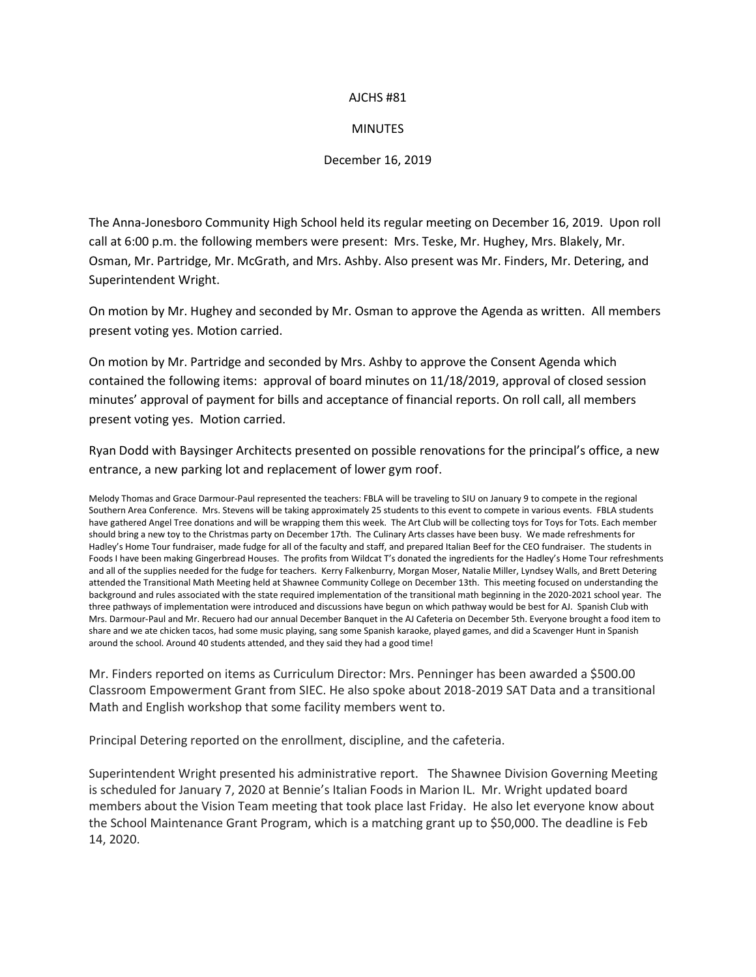## AJCHS #81

## **MINUTES**

## December 16, 2019

The Anna-Jonesboro Community High School held its regular meeting on December 16, 2019. Upon roll call at 6:00 p.m. the following members were present: Mrs. Teske, Mr. Hughey, Mrs. Blakely, Mr. Osman, Mr. Partridge, Mr. McGrath, and Mrs. Ashby. Also present was Mr. Finders, Mr. Detering, and Superintendent Wright.

On motion by Mr. Hughey and seconded by Mr. Osman to approve the Agenda as written. All members present voting yes. Motion carried.

On motion by Mr. Partridge and seconded by Mrs. Ashby to approve the Consent Agenda which contained the following items: approval of board minutes on 11/18/2019, approval of closed session minutes' approval of payment for bills and acceptance of financial reports. On roll call, all members present voting yes. Motion carried.

Ryan Dodd with Baysinger Architects presented on possible renovations for the principal's office, a new entrance, a new parking lot and replacement of lower gym roof.

Melody Thomas and Grace Darmour-Paul represented the teachers: FBLA will be traveling to SIU on January 9 to compete in the regional Southern Area Conference. Mrs. Stevens will be taking approximately 25 students to this event to compete in various events. FBLA students have gathered Angel Tree donations and will be wrapping them this week. The Art Club will be collecting toys for Toys for Tots. Each member should bring a new toy to the Christmas party on December 17th. The Culinary Arts classes have been busy. We made refreshments for Hadley's Home Tour fundraiser, made fudge for all of the faculty and staff, and prepared Italian Beef for the CEO fundraiser. The students in Foods I have been making Gingerbread Houses. The profits from Wildcat T's donated the ingredients for the Hadley's Home Tour refreshments and all of the supplies needed for the fudge for teachers. Kerry Falkenburry, Morgan Moser, Natalie Miller, Lyndsey Walls, and Brett Detering attended the Transitional Math Meeting held at Shawnee Community College on December 13th. This meeting focused on understanding the background and rules associated with the state required implementation of the transitional math beginning in the 2020-2021 school year. The three pathways of implementation were introduced and discussions have begun on which pathway would be best for AJ. Spanish Club with Mrs. Darmour-Paul and Mr. Recuero had our annual December Banquet in the AJ Cafeteria on December 5th. Everyone brought a food item to share and we ate chicken tacos, had some music playing, sang some Spanish karaoke, played games, and did a Scavenger Hunt in Spanish around the school. Around 40 students attended, and they said they had a good time!

Mr. Finders reported on items as Curriculum Director: Mrs. Penninger has been awarded a \$500.00 Classroom Empowerment Grant from SIEC. He also spoke about 2018-2019 SAT Data and a transitional Math and English workshop that some facility members went to.

Principal Detering reported on the enrollment, discipline, and the cafeteria.

Superintendent Wright presented his administrative report. The Shawnee Division Governing Meeting is scheduled for January 7, 2020 at Bennie's Italian Foods in Marion IL. Mr. Wright updated board members about the Vision Team meeting that took place last Friday. He also let everyone know about the School Maintenance Grant Program, which is a matching grant up to \$50,000. The deadline is Feb 14, 2020.